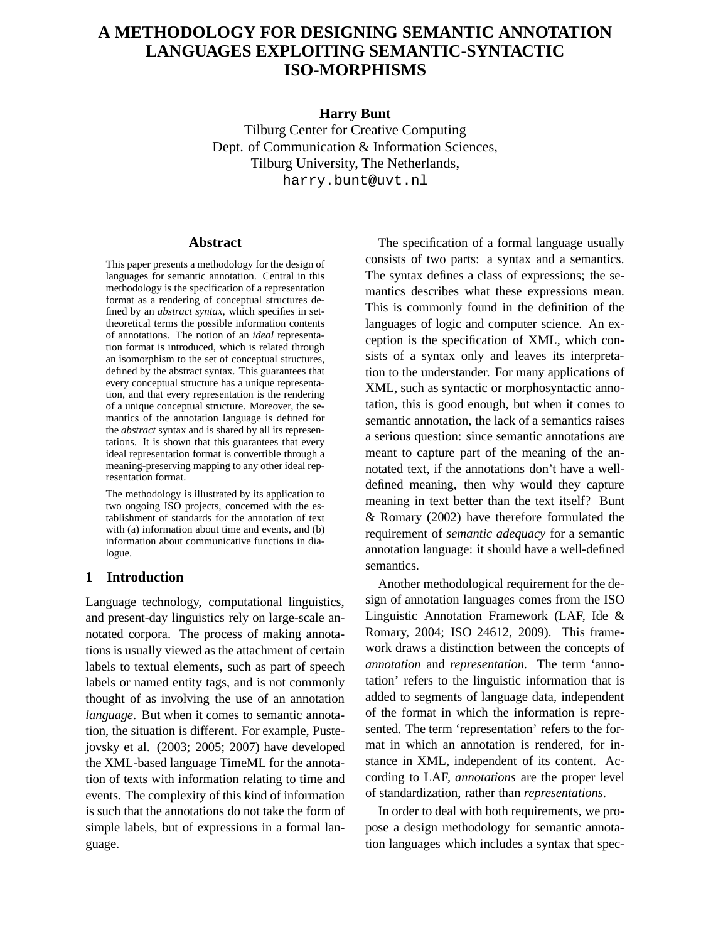# **A METHODOLOGY FOR DESIGNING SEMANTIC ANNOTATION LANGUAGES EXPLOITING SEMANTIC-SYNTACTIC ISO-MORPHISMS**

## **Harry Bunt**

Tilburg Center for Creative Computing Dept. of Communication & Information Sciences, Tilburg University, The Netherlands, harry.bunt@uvt.nl

## **Abstract**

This paper presents a methodology for the design of languages for semantic annotation. Central in this methodology is the specification of a representation format as a rendering of conceptual structures defined by an *abstract syntax*, which specifies in settheoretical terms the possible information contents of annotations. The notion of an *ideal* representation format is introduced, which is related through an isomorphism to the set of conceptual structures, defined by the abstract syntax. This guarantees that every conceptual structure has a unique representation, and that every representation is the rendering of a unique conceptual structure. Moreover, the semantics of the annotation language is defined for the *abstract* syntax and is shared by all its representations. It is shown that this guarantees that every ideal representation format is convertible through a meaning-preserving mapping to any other ideal representation format.

The methodology is illustrated by its application to two ongoing ISO projects, concerned with the establishment of standards for the annotation of text with (a) information about time and events, and (b) information about communicative functions in dialogue.

## **1 Introduction**

Language technology, computational linguistics, and present-day linguistics rely on large-scale annotated corpora. The process of making annotations is usually viewed as the attachment of certain labels to textual elements, such as part of speech labels or named entity tags, and is not commonly thought of as involving the use of an annotation *language*. But when it comes to semantic annotation, the situation is different. For example, Pustejovsky et al. (2003; 2005; 2007) have developed the XML-based language TimeML for the annotation of texts with information relating to time and events. The complexity of this kind of information is such that the annotations do not take the form of simple labels, but of expressions in a formal language.

The specification of a formal language usually consists of two parts: a syntax and a semantics. The syntax defines a class of expressions; the semantics describes what these expressions mean. This is commonly found in the definition of the languages of logic and computer science. An exception is the specification of XML, which consists of a syntax only and leaves its interpretation to the understander. For many applications of XML, such as syntactic or morphosyntactic annotation, this is good enough, but when it comes to semantic annotation, the lack of a semantics raises a serious question: since semantic annotations are meant to capture part of the meaning of the annotated text, if the annotations don't have a welldefined meaning, then why would they capture meaning in text better than the text itself? Bunt & Romary (2002) have therefore formulated the requirement of *semantic adequacy* for a semantic annotation language: it should have a well-defined semantics.

Another methodological requirement for the design of annotation languages comes from the ISO Linguistic Annotation Framework (LAF, Ide & Romary, 2004; ISO 24612, 2009). This framework draws a distinction between the concepts of *annotation* and *representation*. The term 'annotation' refers to the linguistic information that is added to segments of language data, independent of the format in which the information is represented. The term 'representation' refers to the format in which an annotation is rendered, for instance in XML, independent of its content. According to LAF, *annotations* are the proper level of standardization, rather than *representations*.

In order to deal with both requirements, we propose a design methodology for semantic annotation languages which includes a syntax that spec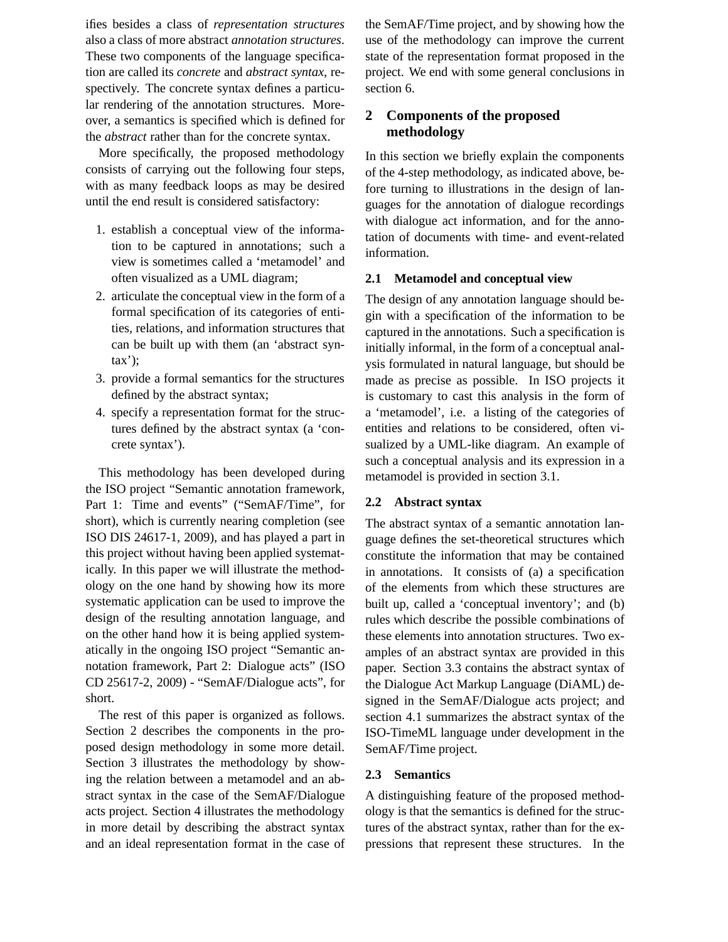ifies besides a class of *representation structures* also a class of more abstract *annotation structures*. These two components of the language specification are called its *concrete* and *abstract syntax*, respectively. The concrete syntax defines a particular rendering of the annotation structures. Moreover, a semantics is specified which is defined for the *abstract* rather than for the concrete syntax.

More specifically, the proposed methodology consists of carrying out the following four steps, with as many feedback loops as may be desired until the end result is considered satisfactory:

- 1. establish a conceptual view of the information to be captured in annotations; such a view is sometimes called a 'metamodel' and often visualized as a UML diagram;
- 2. articulate the conceptual view in the form of a formal specification of its categories of entities, relations, and information structures that can be built up with them (an 'abstract syntax');
- 3. provide a formal semantics for the structures defined by the abstract syntax;
- 4. specify a representation format for the structures defined by the abstract syntax (a 'concrete syntax').

This methodology has been developed during the ISO project "Semantic annotation framework, Part 1: Time and events" ("SemAF/Time", for short), which is currently nearing completion (see ISO DIS 24617-1, 2009), and has played a part in this project without having been applied systematically. In this paper we will illustrate the methodology on the one hand by showing how its more systematic application can be used to improve the design of the resulting annotation language, and on the other hand how it is being applied systematically in the ongoing ISO project "Semantic annotation framework, Part 2: Dialogue acts" (ISO CD 25617-2, 2009) - "SemAF/Dialogue acts", for short.

The rest of this paper is organized as follows. Section 2 describes the components in the proposed design methodology in some more detail. Section 3 illustrates the methodology by showing the relation between a metamodel and an abstract syntax in the case of the SemAF/Dialogue acts project. Section 4 illustrates the methodology in more detail by describing the abstract syntax and an ideal representation format in the case of the SemAF/Time project, and by showing how the use of the methodology can improve the current state of the representation format proposed in the project. We end with some general conclusions in section 6.

## **2 Components of the proposed methodology**

In this section we briefly explain the components of the 4-step methodology, as indicated above, before turning to illustrations in the design of languages for the annotation of dialogue recordings with dialogue act information, and for the annotation of documents with time- and event-related information.

## **2.1 Metamodel and conceptual view**

The design of any annotation language should begin with a specification of the information to be captured in the annotations. Such a specification is initially informal, in the form of a conceptual analysis formulated in natural language, but should be made as precise as possible. In ISO projects it is customary to cast this analysis in the form of a 'metamodel', i.e. a listing of the categories of entities and relations to be considered, often visualized by a UML-like diagram. An example of such a conceptual analysis and its expression in a metamodel is provided in section 3.1.

### **2.2 Abstract syntax**

The abstract syntax of a semantic annotation language defines the set-theoretical structures which constitute the information that may be contained in annotations. It consists of (a) a specification of the elements from which these structures are built up, called a 'conceptual inventory'; and (b) rules which describe the possible combinations of these elements into annotation structures. Two examples of an abstract syntax are provided in this paper. Section 3.3 contains the abstract syntax of the Dialogue Act Markup Language (DiAML) designed in the SemAF/Dialogue acts project; and section 4.1 summarizes the abstract syntax of the ISO-TimeML language under development in the SemAF/Time project.

#### **2.3 Semantics**

A distinguishing feature of the proposed methodology is that the semantics is defined for the structures of the abstract syntax, rather than for the expressions that represent these structures. In the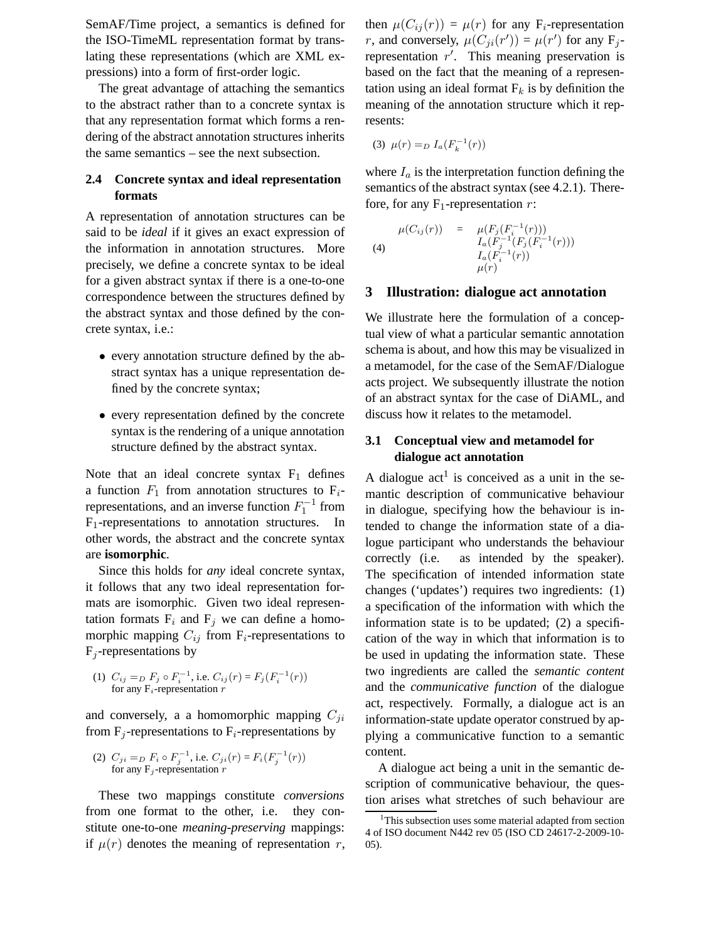SemAF/Time project, a semantics is defined for the ISO-TimeML representation format by translating these representations (which are XML expressions) into a form of first-order logic.

The great advantage of attaching the semantics to the abstract rather than to a concrete syntax is that any representation format which forms a rendering of the abstract annotation structures inherits the same semantics – see the next subsection.

## **2.4 Concrete syntax and ideal representation formats**

A representation of annotation structures can be said to be *ideal* if it gives an exact expression of the information in annotation structures. More precisely, we define a concrete syntax to be ideal for a given abstract syntax if there is a one-to-one correspondence between the structures defined by the abstract syntax and those defined by the concrete syntax, i.e.:

- every annotation structure defined by the abstract syntax has a unique representation defined by the concrete syntax;
- every representation defined by the concrete syntax is the rendering of a unique annotation structure defined by the abstract syntax.

Note that an ideal concrete syntax  $F_1$  defines a function  $F_1$  from annotation structures to  $F_i$ representations, and an inverse function  $F_1^{-1}$  from  $F_1$ -representations to annotation structures. In other words, the abstract and the concrete syntax are **isomorphic**.

Since this holds for *any* ideal concrete syntax, it follows that any two ideal representation formats are isomorphic. Given two ideal representation formats  $F_i$  and  $F_j$  we can define a homomorphic mapping  $C_{ij}$  from F<sub>i</sub>-representations to  $F_i$ -representations by

(1) 
$$
C_{ij} = D F_j \circ F_i^{-1}
$$
, i.e.  $C_{ij}(r) = F_j(F_i^{-1}(r))$   
for any  $F_i$ -representation  $r$ 

and conversely, a a homomorphic mapping  $C_{ji}$ from  $F_i$ -representations to  $F_i$ -representations by

(2) 
$$
C_{ji} = D F_i \circ F_j^{-1}
$$
, i.e.  $C_{ji}(r) = F_i(F_j^{-1}(r))$   
for any  $F_j$ -representation  $r$ 

These two mappings constitute *conversions* from one format to the other, i.e. they constitute one-to-one *meaning-preserving* mappings: if  $\mu(r)$  denotes the meaning of representation r, then  $\mu(C_{ij}(r)) = \mu(r)$  for any F<sub>i</sub>-representation r, and conversely,  $\mu(C_{ji}(r')) = \mu(r')$  for any F<sub>j</sub>representation  $r'$ . This meaning preservation is based on the fact that the meaning of a representation using an ideal format  $F_k$  is by definition the meaning of the annotation structure which it represents:

(3) 
$$
\mu(r) = D L_a(F_k^{-1}(r))
$$

where  $I_a$  is the interpretation function defining the semantics of the abstract syntax (see 4.2.1). Therefore, for any  $F_1$ -representation r:

(4) 
$$
\mu(C_{ij}(r)) = \mu(F_j(F_i^{-1}(r)))
$$

$$
I_a(F_j^{-1}(F_j(F_i^{-1}(r)))
$$

$$
I_a(F_i^{-1}(r))
$$

$$
\mu(r)
$$

### **3 Illustration: dialogue act annotation**

We illustrate here the formulation of a conceptual view of what a particular semantic annotation schema is about, and how this may be visualized in a metamodel, for the case of the SemAF/Dialogue acts project. We subsequently illustrate the notion of an abstract syntax for the case of DiAML, and discuss how it relates to the metamodel.

## **3.1 Conceptual view and metamodel for dialogue act annotation**

A dialogue  $act<sup>1</sup>$  is conceived as a unit in the semantic description of communicative behaviour in dialogue, specifying how the behaviour is intended to change the information state of a dialogue participant who understands the behaviour correctly (i.e. as intended by the speaker). The specification of intended information state changes ('updates') requires two ingredients: (1) a specification of the information with which the information state is to be updated; (2) a specification of the way in which that information is to be used in updating the information state. These two ingredients are called the *semantic content* and the *communicative function* of the dialogue act, respectively. Formally, a dialogue act is an information-state update operator construed by applying a communicative function to a semantic content.

A dialogue act being a unit in the semantic description of communicative behaviour, the question arises what stretches of such behaviour are

<sup>&</sup>lt;sup>1</sup>This subsection uses some material adapted from section 4 of ISO document N442 rev 05 (ISO CD 24617-2-2009-10- 05).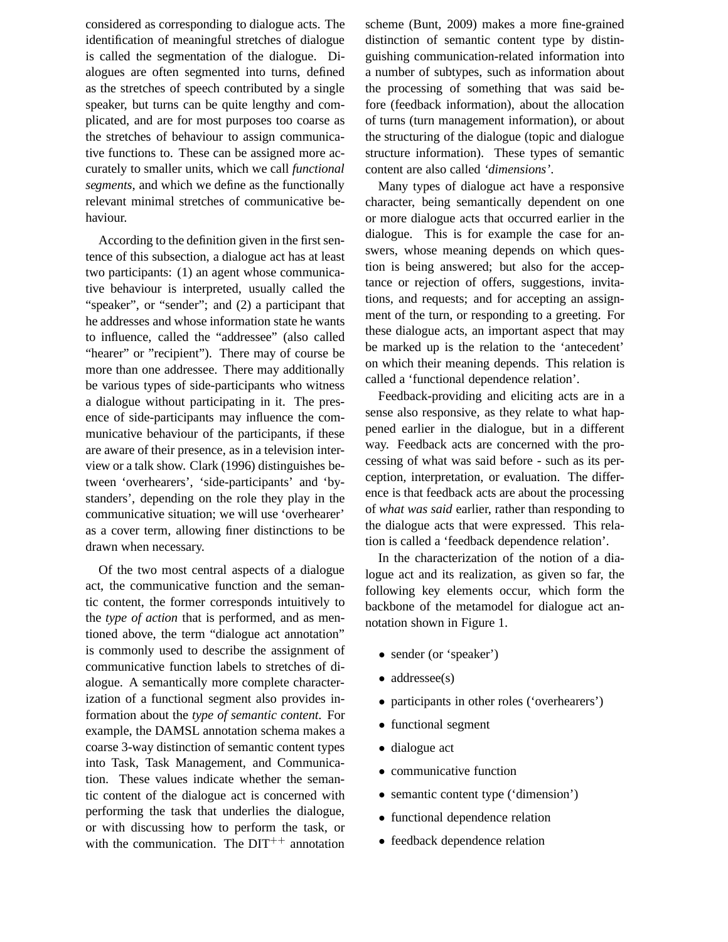considered as corresponding to dialogue acts. The identification of meaningful stretches of dialogue is called the segmentation of the dialogue. Dialogues are often segmented into turns, defined as the stretches of speech contributed by a single speaker, but turns can be quite lengthy and complicated, and are for most purposes too coarse as the stretches of behaviour to assign communicative functions to. These can be assigned more accurately to smaller units, which we call *functional segments*, and which we define as the functionally relevant minimal stretches of communicative behaviour.

According to the definition given in the first sentence of this subsection, a dialogue act has at least two participants: (1) an agent whose communicative behaviour is interpreted, usually called the "speaker", or "sender"; and (2) a participant that he addresses and whose information state he wants to influence, called the "addressee" (also called "hearer" or "recipient"). There may of course be more than one addressee. There may additionally be various types of side-participants who witness a dialogue without participating in it. The presence of side-participants may influence the communicative behaviour of the participants, if these are aware of their presence, as in a television interview or a talk show. Clark (1996) distinguishes between 'overhearers', 'side-participants' and 'bystanders', depending on the role they play in the communicative situation; we will use 'overhearer' as a cover term, allowing finer distinctions to be drawn when necessary.

Of the two most central aspects of a dialogue act, the communicative function and the semantic content, the former corresponds intuitively to the *type of action* that is performed, and as mentioned above, the term "dialogue act annotation" is commonly used to describe the assignment of communicative function labels to stretches of dialogue. A semantically more complete characterization of a functional segment also provides information about the *type of semantic content*. For example, the DAMSL annotation schema makes a coarse 3-way distinction of semantic content types into Task, Task Management, and Communication. These values indicate whether the semantic content of the dialogue act is concerned with performing the task that underlies the dialogue, or with discussing how to perform the task, or with the communication. The  $DT^{++}$  annotation

scheme (Bunt, 2009) makes a more fine-grained distinction of semantic content type by distinguishing communication-related information into a number of subtypes, such as information about the processing of something that was said before (feedback information), about the allocation of turns (turn management information), or about the structuring of the dialogue (topic and dialogue structure information). These types of semantic content are also called *'dimensions'*.

Many types of dialogue act have a responsive character, being semantically dependent on one or more dialogue acts that occurred earlier in the dialogue. This is for example the case for answers, whose meaning depends on which question is being answered; but also for the acceptance or rejection of offers, suggestions, invitations, and requests; and for accepting an assignment of the turn, or responding to a greeting. For these dialogue acts, an important aspect that may be marked up is the relation to the 'antecedent' on which their meaning depends. This relation is called a 'functional dependence relation'.

Feedback-providing and eliciting acts are in a sense also responsive, as they relate to what happened earlier in the dialogue, but in a different way. Feedback acts are concerned with the processing of what was said before - such as its perception, interpretation, or evaluation. The difference is that feedback acts are about the processing of *what was said* earlier, rather than responding to the dialogue acts that were expressed. This relation is called a 'feedback dependence relation'.

In the characterization of the notion of a dialogue act and its realization, as given so far, the following key elements occur, which form the backbone of the metamodel for dialogue act annotation shown in Figure 1.

- sender (or 'speaker')
- addressee(s)
- participants in other roles ('overhearers')
- functional segment
- dialogue act
- communicative function
- semantic content type ('dimension')
- functional dependence relation
- feedback dependence relation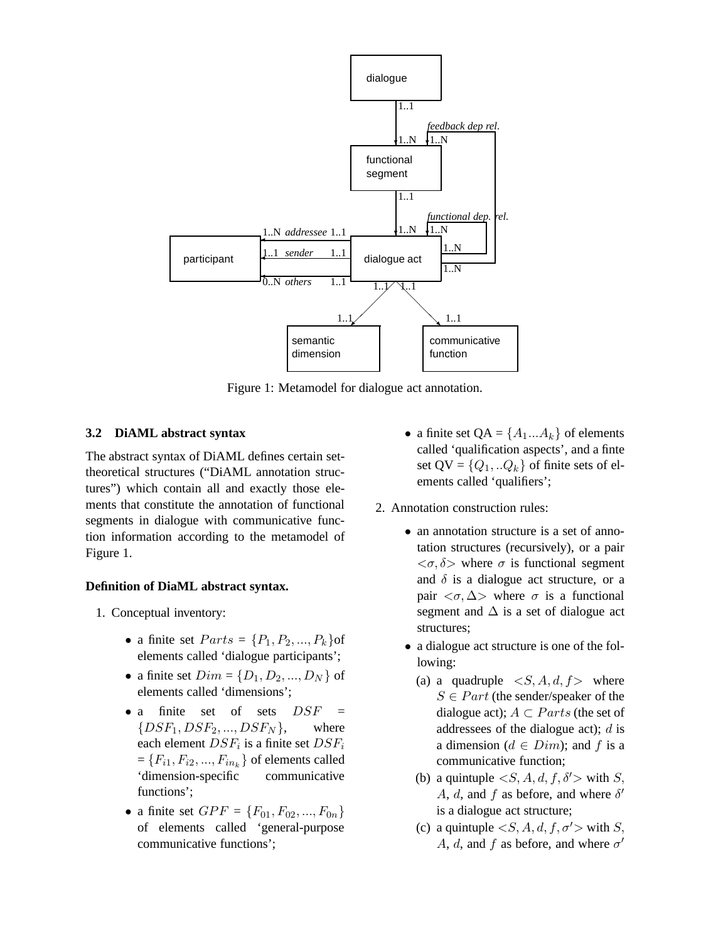

Figure 1: Metamodel for dialogue act annotation.

## **3.2 DiAML abstract syntax**

The abstract syntax of DiAML defines certain settheoretical structures ("DiAML annotation structures") which contain all and exactly those elements that constitute the annotation of functional segments in dialogue with communicative function information according to the metamodel of Figure 1.

## **Definition of DiaML abstract syntax.**

- 1. Conceptual inventory:
	- a finite set  $Parts = \{P_1, P_2, ..., P_k\}$ of elements called 'dialogue participants';
	- a finite set  $Dim = \{D_1, D_2, ..., D_N\}$  of elements called 'dimensions';
	- a finite set of sets  $DSF =$  $\{DSF_1, DSF_2, \ldots, DSF_N\},$  where each element  $DSF_i$  is a finite set  $DSF_i$  $=\{F_{i1}, F_{i2},..., F_{in_k}\}$  of elements called 'dimension-specific communicative functions';
	- a finite set  $GPF = \{F_{01}, F_{02}, ..., F_{0n}\}\$ of elements called 'general-purpose communicative functions';
- a finite set  $QA = \{A_1...A_k\}$  of elements called 'qualification aspects', and a finte set  $QV = \{Q_1, . . Q_k\}$  of finite sets of elements called 'qualifiers';
- 2. Annotation construction rules:
	- an annotation structure is a set of annotation structures (recursively), or a pair  $\langle \sigma, \delta \rangle$  where  $\sigma$  is functional segment and  $\delta$  is a dialogue act structure, or a pair  $\langle \sigma, \Delta \rangle$  where  $\sigma$  is a functional segment and  $\Delta$  is a set of dialogue act structures;
	- a dialogue act structure is one of the following:
		- (a) a quadruple  $\langle S, A, d, f \rangle$  where  $S \in Part$  (the sender/speaker of the dialogue act);  $A \subset Parts$  (the set of addressees of the dialogue act);  $d$  is a dimension ( $d \in Dim$ ); and f is a communicative function;
		- (b) a quintuple  $\langle S, A, d, f, \delta' \rangle$  with S,  $\hat{A}$ ,  $\hat{d}$ , and  $\hat{f}$  as before, and where  $\delta'$ is a dialogue act structure;
		- (c) a quintuple  $\langle S, A, d, f, \sigma' \rangle$  with S, A, d, and f as before, and where  $\sigma'$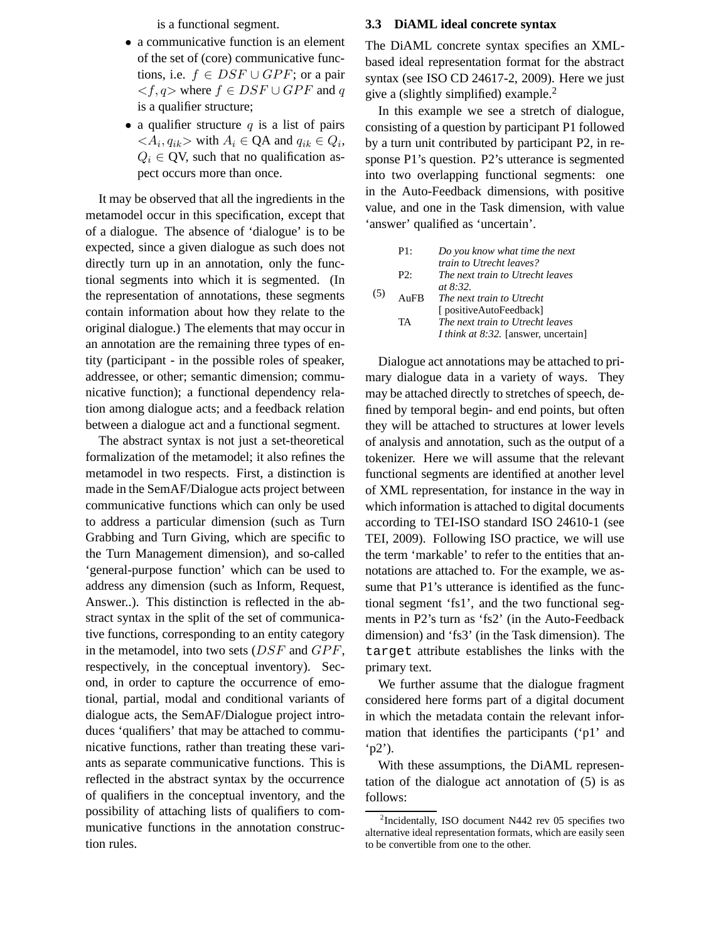is a functional segment.

- a communicative function is an element of the set of (core) communicative functions, i.e.  $f \in DSF \cup GPF$ ; or a pair  $\langle f, q \rangle$  where  $f \in DSF \cup GPF$  and q is a qualifier structure;
- a qualifier structure  $q$  is a list of pairs  $\langle A_i, q_{ik} \rangle$  with  $A_i \in \mathsf{QA}$  and  $q_{ik} \in Q_i$ ,  $Q_i \in \text{QV}$ , such that no qualification aspect occurs more than once.

It may be observed that all the ingredients in the metamodel occur in this specification, except that of a dialogue. The absence of 'dialogue' is to be expected, since a given dialogue as such does not directly turn up in an annotation, only the functional segments into which it is segmented. (In the representation of annotations, these segments contain information about how they relate to the original dialogue.) The elements that may occur in an annotation are the remaining three types of entity (participant - in the possible roles of speaker, addressee, or other; semantic dimension; communicative function); a functional dependency relation among dialogue acts; and a feedback relation between a dialogue act and a functional segment.

The abstract syntax is not just a set-theoretical formalization of the metamodel; it also refines the metamodel in two respects. First, a distinction is made in the SemAF/Dialogue acts project between communicative functions which can only be used to address a particular dimension (such as Turn Grabbing and Turn Giving, which are specific to the Turn Management dimension), and so-called 'general-purpose function' which can be used to address any dimension (such as Inform, Request, Answer..). This distinction is reflected in the abstract syntax in the split of the set of communicative functions, corresponding to an entity category in the metamodel, into two sets  $(DSF \text{ and } GPF$ , respectively, in the conceptual inventory). Second, in order to capture the occurrence of emotional, partial, modal and conditional variants of dialogue acts, the SemAF/Dialogue project introduces 'qualifiers' that may be attached to communicative functions, rather than treating these variants as separate communicative functions. This is reflected in the abstract syntax by the occurrence of qualifiers in the conceptual inventory, and the possibility of attaching lists of qualifiers to communicative functions in the annotation construction rules.

#### **3.3 DiAML ideal concrete syntax**

The DiAML concrete syntax specifies an XMLbased ideal representation format for the abstract syntax (see ISO CD 24617-2, 2009). Here we just give a (slightly simplified) example.<sup>2</sup>

In this example we see a stretch of dialogue, consisting of a question by participant P1 followed by a turn unit contributed by participant P2, in response P1's question. P2's utterance is segmented into two overlapping functional segments: one in the Auto-Feedback dimensions, with positive value, and one in the Task dimension, with value 'answer' qualified as 'uncertain'.

| (5) | P1:    | Do you know what time the next              |
|-----|--------|---------------------------------------------|
|     |        | train to Utrecht leaves?                    |
|     | $P2$ : | The next train to Utrecht leaves            |
|     |        | <i>at</i> $8:32$ .                          |
|     | AnFR   | The next train to Utrecht                   |
|     |        | [ positiveAutoFeedback]                     |
|     | TA     | The next train to Utrecht leaves            |
|     |        | <i>I think at 8:32.</i> [answer, uncertain] |

Dialogue act annotations may be attached to primary dialogue data in a variety of ways. They may be attached directly to stretches of speech, defined by temporal begin- and end points, but often they will be attached to structures at lower levels of analysis and annotation, such as the output of a tokenizer. Here we will assume that the relevant functional segments are identified at another level of XML representation, for instance in the way in which information is attached to digital documents according to TEI-ISO standard ISO 24610-1 (see TEI, 2009). Following ISO practice, we will use the term 'markable' to refer to the entities that annotations are attached to. For the example, we assume that P1's utterance is identified as the functional segment 'fs1', and the two functional segments in P2's turn as 'fs2' (in the Auto-Feedback dimension) and 'fs3' (in the Task dimension). The target attribute establishes the links with the primary text.

We further assume that the dialogue fragment considered here forms part of a digital document in which the metadata contain the relevant information that identifies the participants ('p1' and  $(p2')$ .

With these assumptions, the DiAML representation of the dialogue act annotation of (5) is as follows:

<sup>&</sup>lt;sup>2</sup>Incidentally, ISO document N442 rev 05 specifies two alternative ideal representation formats, which are easily seen to be convertible from one to the other.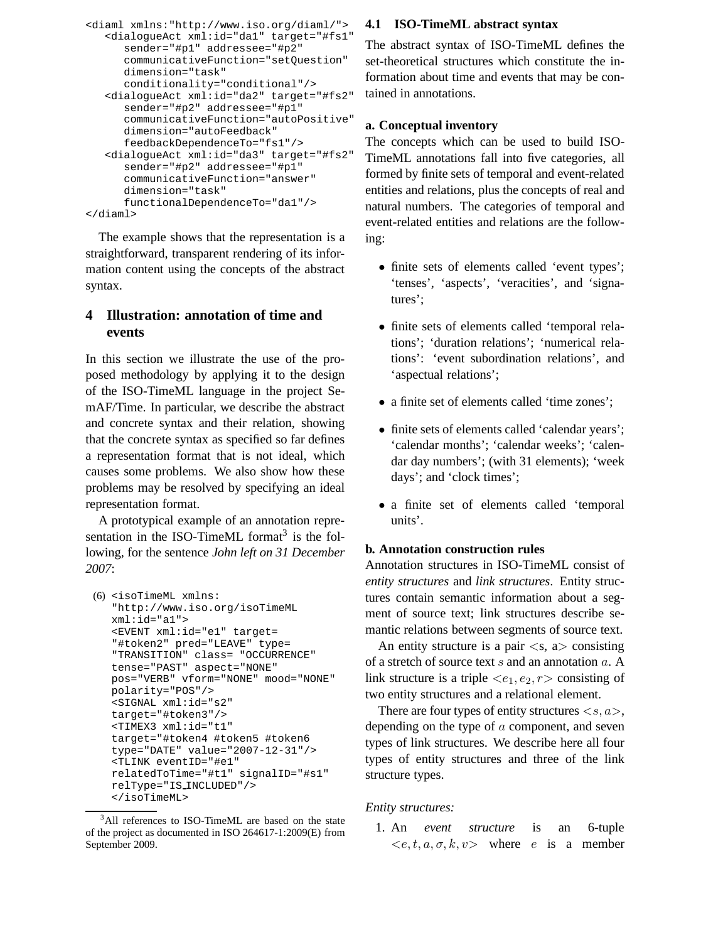```
<diaml xmlns:"http://www.iso.org/diaml/">
<dialogueAct xml:id="da1" target="#fs1"
   sender="#p1" addressee="#p2"
    communicativeFunction="setQuestion"
   dimension="task"
    conditionality="conditional"/>
<dialogueAct xml:id="da2" target="#fs2"
    sender="#p2" addressee="#p1"
    communicativeFunction="autoPositive"
    dimension="autoFeedback"
    feedbackDependenceTo="fs1"/>
<dialogueAct xml:id="da3" target="#fs2"
    sender="#p2" addressee="#p1"
    communicativeFunction="answer"
    dimension="task"
    functionalDependenceTo="da1"/>
```
</diaml>

The example shows that the representation is a straightforward, transparent rendering of its information content using the concepts of the abstract syntax.

## **4 Illustration: annotation of time and events**

In this section we illustrate the use of the proposed methodology by applying it to the design of the ISO-TimeML language in the project SemAF/Time. In particular, we describe the abstract and concrete syntax and their relation, showing that the concrete syntax as specified so far defines a representation format that is not ideal, which causes some problems. We also show how these problems may be resolved by specifying an ideal representation format.

A prototypical example of an annotation representation in the ISO-TimeML format $3$  is the following, for the sentence *John left on 31 December 2007*:

```
(6) <isoTimeML xmlns:
 "http://www.iso.org/isoTimeML
 xml:id="a1">
 <EVENT xml:id="e1" target=
 "#token2" pred="LEAVE" type=
 "TRANSITION" class= "OCCURRENCE"
 tense="PAST" aspect="NONE"
 pos="VERB" vform="NONE" mood="NONE"
 polarity="POS"/>
 <SIGNAL xml:id="s2"
 target="#token3"/>
 <TIMEX3 xml:id="t1"
 target="#token4 #token5 #token6
 type="DATE" value="2007-12-31"/>
 <TLINK eventID="#e1"
 relatedToTime="#t1" signalID="#s1"
 relType="IS INCLUDED"/>
 </isoTimeML>
```
### **4.1 ISO-TimeML abstract syntax**

The abstract syntax of ISO-TimeML defines the set-theoretical structures which constitute the information about time and events that may be contained in annotations.

## **a. Conceptual inventory**

The concepts which can be used to build ISO-TimeML annotations fall into five categories, all formed by finite sets of temporal and event-related entities and relations, plus the concepts of real and natural numbers. The categories of temporal and event-related entities and relations are the following:

- finite sets of elements called 'event types'; 'tenses', 'aspects', 'veracities', and 'signatures';
- finite sets of elements called 'temporal relations'; 'duration relations'; 'numerical relations': 'event subordination relations', and 'aspectual relations';
- a finite set of elements called 'time zones';
- finite sets of elements called 'calendar years'; 'calendar months'; 'calendar weeks'; 'calendar day numbers'; (with 31 elements); 'week days'; and 'clock times';
- a finite set of elements called 'temporal units'.

## **b. Annotation construction rules**

Annotation structures in ISO-TimeML consist of *entity structures* and *link structures*. Entity structures contain semantic information about a segment of source text; link structures describe semantic relations between segments of source text.

An entity structure is a pair  $\langle s, a \rangle$  consisting of a stretch of source text s and an annotation a. A link structure is a triple  $\langle e_1, e_2, r \rangle$  consisting of two entity structures and a relational element.

There are four types of entity structures  $\langle s, a \rangle$ , depending on the type of a component, and seven types of link structures. We describe here all four types of entity structures and three of the link structure types.

#### *Entity structures:*

1. An *event structure* is an 6-tuple  $\langle e, t, a, \sigma, k, v \rangle$  where e is a member

<sup>&</sup>lt;sup>3</sup>All references to ISO-TimeML are based on the state of the project as documented in ISO 264617-1:2009(E) from September 2009.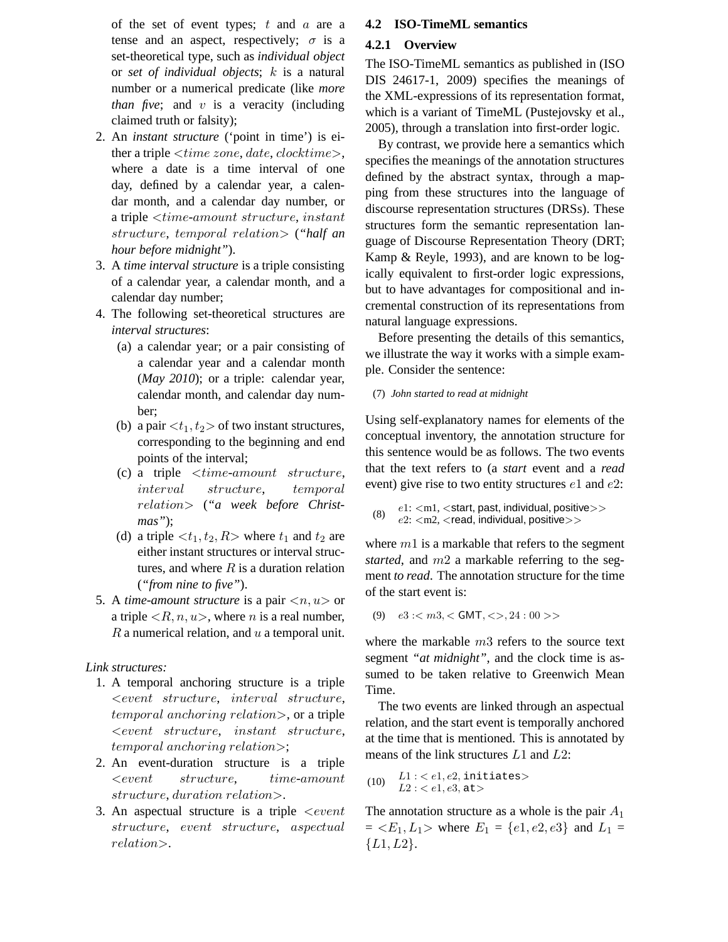of the set of event types;  $t$  and  $\alpha$  are a tense and an aspect, respectively;  $\sigma$  is a set-theoretical type, such as *individual object* or *set of individual objects*; k is a natural number or a numerical predicate (like *more than five*; and  $v$  is a veracity (including claimed truth or falsity);

- 2. An *instant structure* ('point in time') is either a triple  $\n< time zone, date, clock time$ , where a date is a time interval of one day, defined by a calendar year, a calendar month, and a calendar day number, or a triple <time-amount structure, instant structure, temporal relation> (*"half an hour before midnight"*).
- 3. A *time interval structure* is a triple consisting of a calendar year, a calendar month, and a calendar day number;
- 4. The following set-theoretical structures are *interval structures*:
	- (a) a calendar year; or a pair consisting of a calendar year and a calendar month (*May 2010*); or a triple: calendar year, calendar month, and calendar day number;
	- (b) a pair  $\langle t_1, t_2 \rangle$  of two instant structures, corresponding to the beginning and end points of the interval;
	- (c) a triple  $\n< time\text{-}amount\ structure,$ interval structure, temporal relation> (*"a week before Christmas"*);
	- (d) a triple  $\langle t_1, t_2, R \rangle$  where  $t_1$  and  $t_2$  are either instant structures or interval structures, and where  $R$  is a duration relation (*"from nine to five"*).
- 5. A *time-amount structure* is a pair  $\langle n, u \rangle$  or a triple  $\langle R, n, u \rangle$ , where *n* is a real number,  $R$  a numerical relation, and  $u$  a temporal unit.

## *Link structures:*

- 1. A temporal anchoring structure is a triple  $\leq event \ structure, \ interval \ structure,$ temporal anchoring relation>, or a triple  $\leq event \ structure, \ instance,$ temporal anchoring relation>;
- 2. An event-duration structure is a triple  $\le$ event structure, time-amount structure, duration relation>.
- 3. An aspectual structure is a triple  $\le$ event structure, event structure, aspectual relation>.

## **4.2 ISO-TimeML semantics**

## **4.2.1 Overview**

The ISO-TimeML semantics as published in (ISO DIS 24617-1, 2009) specifies the meanings of the XML-expressions of its representation format, which is a variant of TimeML (Pustejovsky et al., 2005), through a translation into first-order logic.

By contrast, we provide here a semantics which specifies the meanings of the annotation structures defined by the abstract syntax, through a mapping from these structures into the language of discourse representation structures (DRSs). These structures form the semantic representation language of Discourse Representation Theory (DRT; Kamp & Reyle, 1993), and are known to be logically equivalent to first-order logic expressions, but to have advantages for compositional and incremental construction of its representations from natural language expressions.

Before presenting the details of this semantics, we illustrate the way it works with a simple example. Consider the sentence:

### (7) *John started to read at midnight*

Using self-explanatory names for elements of the conceptual inventory, the annotation structure for this sentence would be as follows. The two events that the text refers to (a *start* event and a *read* event) give rise to two entity structures  $e1$  and  $e2$ :

```
(8) e1: \langle ml, \langle start, past, individual, positive \rangle ><br>(8) e1: \langle m2 \rangle (read, individual, positive)
         e2: \langlem2, \langleread, individual, positive>\rangle
```
where  $m1$  is a markable that refers to the segment *started*, and m2 a markable referring to the segment *to read*. The annotation structure for the time of the start event is:

(9)  $e3: < m3, <$  GMT,  $<$  >  $>$ , 24 : 00 > >

where the markable m3 refers to the source text segment *"at midnight"*, and the clock time is assumed to be taken relative to Greenwich Mean Time.

The two events are linked through an aspectual relation, and the start event is temporally anchored at the time that is mentioned. This is annotated by means of the link structures L1 and L2:

```
(10) L1: <e1, e2, initiates>
   L2: <e1, e3, at >
```
The annotation structure as a whole is the pair  $A_1$  $= \langle E_1, L_1 \rangle$  where  $E_1 = \{e1, e2, e3\}$  and  $L_1 =$  ${L1, L2}.$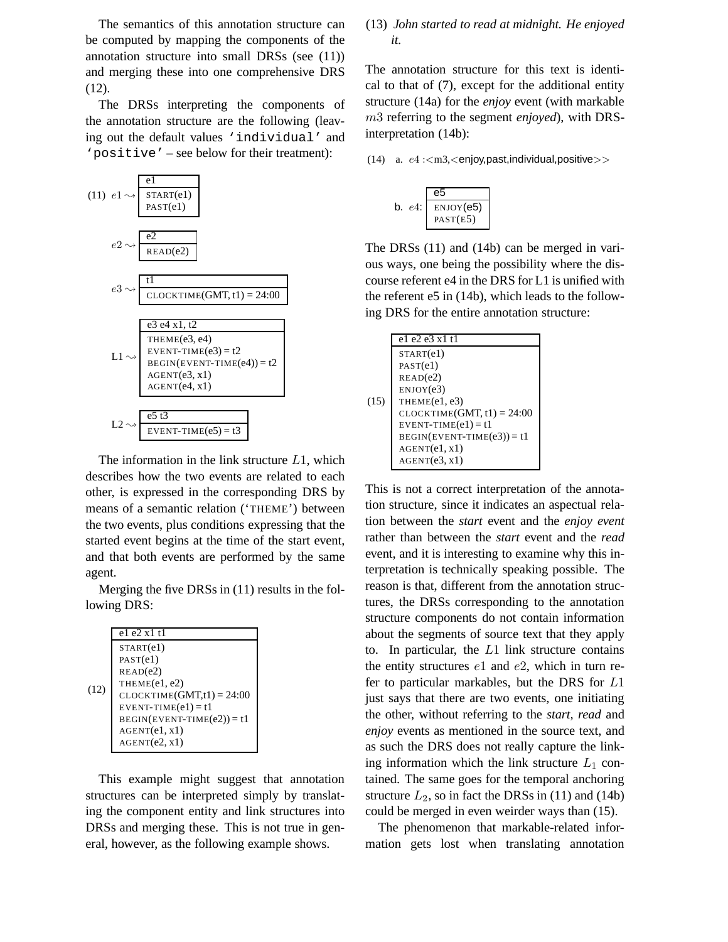The semantics of this annotation structure can be computed by mapping the components of the annotation structure into small DRSs (see (11)) and merging these into one comprehensive DRS (12).

The DRSs interpreting the components of the annotation structure are the following (leaving out the default values 'individual' and 'positive' – see below for their treatment):



The information in the link structure  $L1$ , which describes how the two events are related to each other, is expressed in the corresponding DRS by means of a semantic relation ('THEME') between the two events, plus conditions expressing that the started event begins at the time of the start event, and that both events are performed by the same agent.

Merging the five DRSs in (11) results in the following DRS:

|      | $el$ e2 x1 $tl$                     |
|------|-------------------------------------|
|      | STATE(el)                           |
|      | PAST(e1)                            |
|      | READ(e2)                            |
|      | THEME(e1, e2)                       |
| (12) | $CLOCKTIME(GMT,t1) = 24:00$         |
|      | $EVENT-TIME(e1) = t1$               |
|      | $\text{BEGIN}(EVENT-TIME(e2)) = t1$ |
|      | AGENT(el, x1)                       |
|      | AGENT(e2, x1)                       |
|      |                                     |

This example might suggest that annotation structures can be interpreted simply by translating the component entity and link structures into DRSs and merging these. This is not true in general, however, as the following example shows.

## (13) *John started to read at midnight. He enjoyed it.*

The annotation structure for this text is identical to that of (7), except for the additional entity structure (14a) for the *enjoy* event (with markable m3 referring to the segment *enjoyed*), with DRSinterpretation (14b):

(14) a. e4 :<m3,<enjoy,past,individual,positive>>



The DRSs (11) and (14b) can be merged in various ways, one being the possibility where the discourse referent e4 in the DRS for L1 is unified with the referent e5 in (14b), which leads to the following DRS for the entire annotation structure:

|      | e1 e2 e3 x1 t1               |
|------|------------------------------|
|      | STATE1)                      |
|      | PAST(e1)                     |
|      | READ(e2)                     |
|      | ENJOY(e3)                    |
| (15) | THEME(e1, e3)                |
|      | $CLOCKTIME(GMT, t1) = 24:00$ |
|      | EVENT-TIME $(e1) = t1$       |
|      | $BEGIN(EVENT-TIME(e3)) = t1$ |
|      | AGENT(el, x1)                |
|      | AGENT(e3, x1)                |
|      |                              |

This is not a correct interpretation of the annotation structure, since it indicates an aspectual relation between the *start* event and the *enjoy event* rather than between the *start* event and the *read* event, and it is interesting to examine why this interpretation is technically speaking possible. The reason is that, different from the annotation structures, the DRSs corresponding to the annotation structure components do not contain information about the segments of source text that they apply to. In particular, the  $L1$  link structure contains the entity structures  $e1$  and  $e2$ , which in turn refer to particular markables, but the DRS for L1 just says that there are two events, one initiating the other, without referring to the *start, read* and *enjoy* events as mentioned in the source text, and as such the DRS does not really capture the linking information which the link structure  $L_1$  contained. The same goes for the temporal anchoring structure  $L_2$ , so in fact the DRSs in (11) and (14b) could be merged in even weirder ways than (15).

The phenomenon that markable-related information gets lost when translating annotation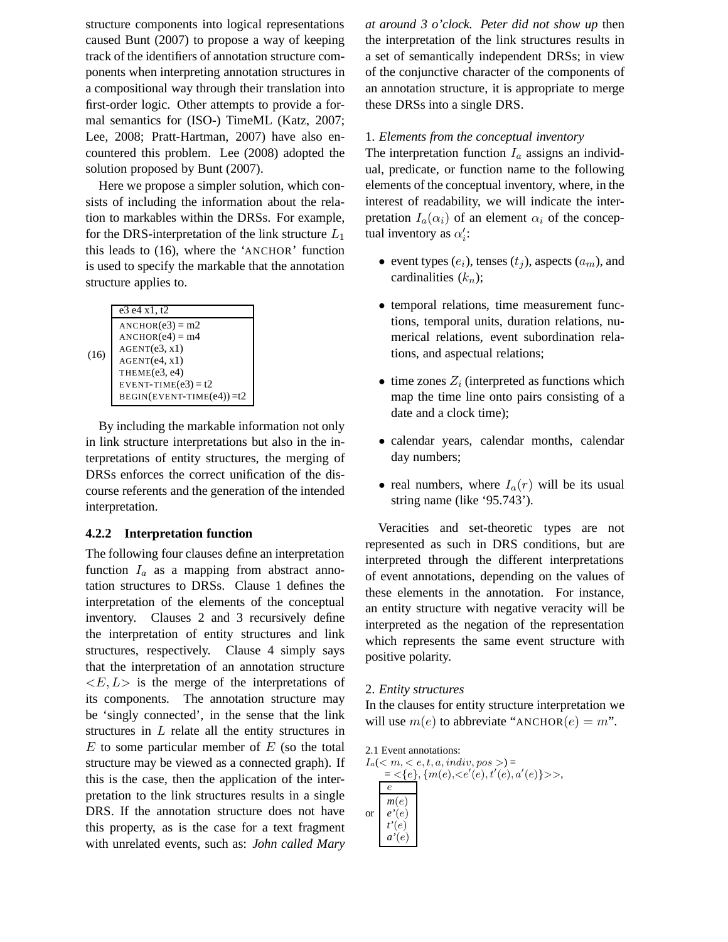structure components into logical representations caused Bunt (2007) to propose a way of keeping track of the identifiers of annotation structure components when interpreting annotation structures in a compositional way through their translation into first-order logic. Other attempts to provide a formal semantics for (ISO-) TimeML (Katz, 2007; Lee, 2008; Pratt-Hartman, 2007) have also encountered this problem. Lee (2008) adopted the solution proposed by Bunt (2007).

Here we propose a simpler solution, which consists of including the information about the relation to markables within the DRSs. For example, for the DRS-interpretation of the link structure  $L_1$ this leads to (16), where the 'ANCHOR' function is used to specify the markable that the annotation structure applies to.

|      | e3 e4 x1, t2                 |
|------|------------------------------|
|      | $ANCHOR(e3) = m2$            |
|      | $ANCHOR(e4) = m4$            |
| (16) | AGENT(e3, x1)                |
|      | AGENT(e4, x1)                |
|      | THEME(e3, e4)                |
|      | EVENT-TIME $(e3) = t2$       |
|      | $BEGIN(EVENT-TIME(e4)) = t2$ |
|      |                              |

By including the markable information not only in link structure interpretations but also in the interpretations of entity structures, the merging of DRSs enforces the correct unification of the discourse referents and the generation of the intended interpretation.

#### **4.2.2 Interpretation function**

The following four clauses define an interpretation function  $I_a$  as a mapping from abstract annotation structures to DRSs. Clause 1 defines the interpretation of the elements of the conceptual inventory. Clauses 2 and 3 recursively define the interpretation of entity structures and link structures, respectively. Clause 4 simply says that the interpretation of an annotation structure  $\langle E, L \rangle$  is the merge of the interpretations of its components. The annotation structure may be 'singly connected', in the sense that the link structures in L relate all the entity structures in  $E$  to some particular member of  $E$  (so the total structure may be viewed as a connected graph). If this is the case, then the application of the interpretation to the link structures results in a single DRS. If the annotation structure does not have this property, as is the case for a text fragment with unrelated events, such as: *John called Mary* *at around 3 o'clock. Peter did not show up* then the interpretation of the link structures results in a set of semantically independent DRSs; in view of the conjunctive character of the components of an annotation structure, it is appropriate to merge these DRSs into a single DRS.

### 1. *Elements from the conceptual inventory*

The interpretation function  $I_a$  assigns an individual, predicate, or function name to the following elements of the conceptual inventory, where, in the interest of readability, we will indicate the interpretation  $I_a(\alpha_i)$  of an element  $\alpha_i$  of the conceptual inventory as  $\alpha_i'$  $\frac{\prime}{i}$ :

- event types  $(e_i)$ , tenses  $(t_i)$ , aspects  $(a_m)$ , and cardinalities  $(k_n)$ ;
- temporal relations, time measurement functions, temporal units, duration relations, numerical relations, event subordination relations, and aspectual relations;
- time zones  $Z_i$  (interpreted as functions which map the time line onto pairs consisting of a date and a clock time);
- calendar years, calendar months, calendar day numbers;
- real numbers, where  $I_a(r)$  will be its usual string name (like '95.743').

Veracities and set-theoretic types are not represented as such in DRS conditions, but are interpreted through the different interpretations of event annotations, depending on the values of these elements in the annotation. For instance, an entity structure with negative veracity will be interpreted as the negation of the representation which represents the same event structure with positive polarity.

### 2. *Entity structures*

In the clauses for entity structure interpretation we will use  $m(e)$  to abbreviate "ANCHOR $(e) = m$ ".

2.1 Event annotations:  $I_a(< m, < e, t, a, indiv, pos>) =$  $=\, <\!\{e\},\{m(e),\!<\!e'(e),t'(e),a'(e)\}\!>\,>,$ or e  $m(e)$ *e'*(e) *t'*(e) *a'*(e)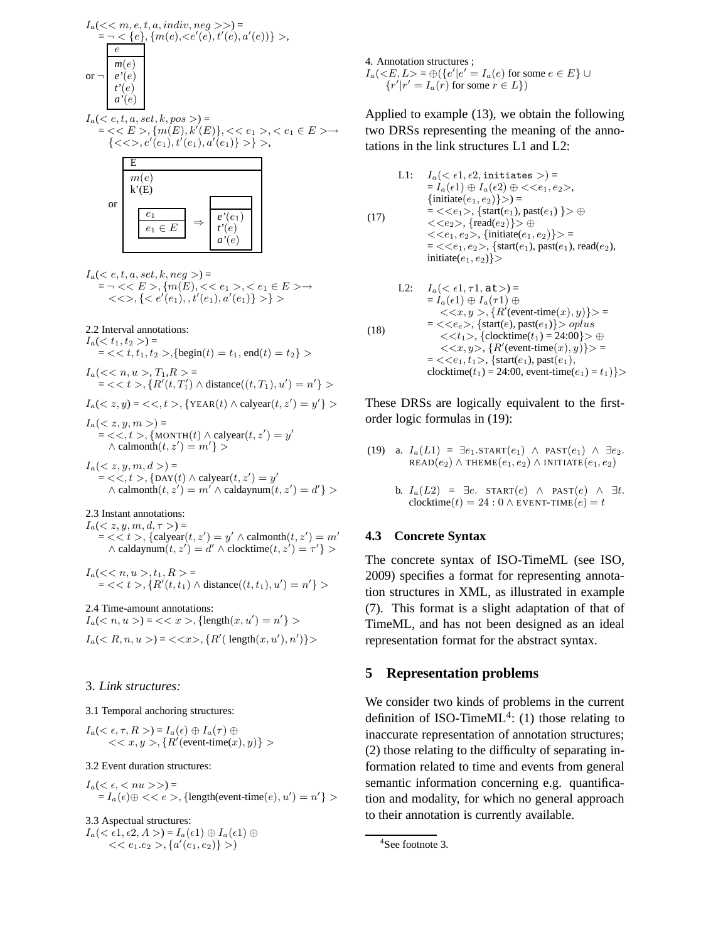

 $I_a( $e, t, a, set, k, pos>)$  =$  $=$  <  $\langle E \rangle$ ,  $\{m(E), k'(E)\},$  <  $\langle e_1 \rangle$ ,  $\langle e_1 \in E \rangle$  ${<<>, e'(e_1), t'(e_1), a'(e_1)} > \},$ 



 $I_a( $e, t, a, set, k, neg>)=$$  $= \neg << E > , \{m(E), << e_1>, < e_1 \in E > \rightarrow$  $\langle \langle \langle e_1 \rangle, e'(e_1), e'(e_1), a'(e_1) \rangle \rangle$ 

2.2 Interval annotations:

 $I_a(< t_1, t_2>)$  =  $=$  < < t, t<sub>1</sub>, t<sub>2</sub> >, {begin(t) = t<sub>1</sub>, end(t) = t<sub>2</sub>} >

 $I_a(<\!n, u>, T_1, R>$  $=$  < < t >, { $R'(t, T'_1) \wedge$  distance $((t, T_1), u') = n'$ } >  $I_a($ 

 $I_a(*z*, *y*, *m*) =$  $= \langle \langle t \rangle, \{ \text{MONTH}(t) \wedge \text{calyear}(t, z') = y' \rangle\}$  $\wedge$  calmonth $(t, z') = m'$ } >

 $I_a(*z*, *y*, *m*, *d*) =$  $=$  < <, t >, {DAY(t)  $\land$  calyear(t, z') = y'  $\wedge$  calmonth $(t, z') = m' \wedge$  caldaynum $(t, z') = d'$ }

#### 2.3 Instant annotations:

 $I_a(*z*, *y*, *m*, *d*,  $\tau>)=$$  $=$  < < t >, {calyear(t, z') = y'  $\land$  calmonth(t, z') = m'  $\wedge$  caldaynum $(t, z') = d' \wedge$ clocktime $(t, z') = \tau'$ }

 $I_a(< , t_1, R>$  $=$  < < t >, { $R'(t, t_1) \wedge$  distance $((t, t_1), u') = n'$ } >

2.4 Time-amount annotations:  $I_a(< n, u>) = \langle x > \rangle$  {length $(x, u') = n'$ }  $I_a(< R, n, u>) = \langle \langle x \rangle, \{R'(\text{length}(x, u'), n')\} \rangle$ 

#### 3. *Link structures:*

#### 3.1 Temporal anchoring structures:

 $I_a(<\epsilon,\tau,R>)=I_a(\epsilon)\oplus I_a(\tau)\oplus$  $<< x, y>, \{R'(\text{event-time}(x), y)\}>)$ 

#### 3.2 Event duration structures:

 $I_a(<\epsilon,)=$  $= I_a(\epsilon) \oplus \langle \langle \epsilon \rangle \rangle$ , {length(event-time(e),  $u'$ ) = n' } >

## 3.3 Aspectual structures:

 $I_a(<\epsilon 1, \epsilon 2, A>) = I_a(\epsilon 1) \oplus I_a(\epsilon 1) \oplus$  $<< e_1.e_2>, \{a'(e_1,e_2)\}>)$ 

4. Annotation structures ;  $I_a(*E*, *L*) = \bigoplus {\{e'|e' = I_a(e) \text{ for some } e \in E\}} \cup$  $\{r'|r' = I_a(r)$  for some  $r \in L\}$ )

Applied to example (13), we obtain the following two DRSs representing the meaning of the annotations in the link structures L1 and L2:

(17) L1:  $I_a( $\epsilon 1, \epsilon 2$ , initiates >)=$  $= I_a(\epsilon 1) \oplus I_a(\epsilon 2) \oplus \langle \langle e_1, e_2 \rangle,$  $\{initiate(e_1, e_2)\} >$  =  $=$  <<e<sub>1</sub>>, {start(e<sub>1</sub>), past(e<sub>1</sub>) } >  $\oplus$  $<, \{read(e_2)\}>\oplus$  $<, \{initiate(e_1, e_2)\}>=$  $=$  < <  $e_1, e_2$ >, {start $(e_1)$ , past $(e_1)$ , read $(e_2)$ , initiate $(e_1, e_2)$ }

L2: 
$$
I_a(<\epsilon 1, \tau 1, \mathtt{at}>)=
$$
  
\n
$$
= I_a(\epsilon 1) \oplus I_a(\tau 1) \oplus
$$
\n
$$
<\!\!,\{R'(\text{event-time}(x),y)\}\!\!>
$$
\n
$$
= <\!\!,\{\text{start}(e),\text{past}(e_1)\}\!\!>
$$
 *oplus*\n
$$
<\!\!,\{\text{clocktime}(t_1)=24:00\}\!\!>
$$
\n
$$
<\!\!,\{R'(\text{event-time}(x),y)\}\!\!>
$$
\n
$$
= <\!\!,\{\text{start}(e_1),\text{past}(e_1),\text{color}(i_1)=24:00,\text{event-time}(e_1)=t_1)\}\!\!>
$$

These DRSs are logically equivalent to the firstorder logic formulas in (19):

- (19) a.  $I_a(L1) = \exists e_1 \dots \text{START}(e_1) \land \text{FAST}(e_1) \land \exists e_2$ .  $\text{READ}(e_2) \wedge \text{THEME}(e_1, e_2) \wedge \text{INITIATE}(e_1, e_2)$ 
	- b.  $I_a(L2) = \exists e$ . START $(e) \land$  PAST $(e) \land \exists t$ . clocktime(t) = 24 : 0  $\land$  EVENT-TIME(e) = t

## **4.3 Concrete Syntax**

The concrete syntax of ISO-TimeML (see ISO, 2009) specifies a format for representing annotation structures in XML, as illustrated in example (7). This format is a slight adaptation of that of TimeML, and has not been designed as an ideal representation format for the abstract syntax.

### **5 Representation problems**

We consider two kinds of problems in the current definition of ISO-Time $ML^4$ : (1) those relating to inaccurate representation of annotation structures; (2) those relating to the difficulty of separating information related to time and events from general semantic information concerning e.g. quantification and modality, for which no general approach to their annotation is currently available.

<sup>4</sup> See footnote 3.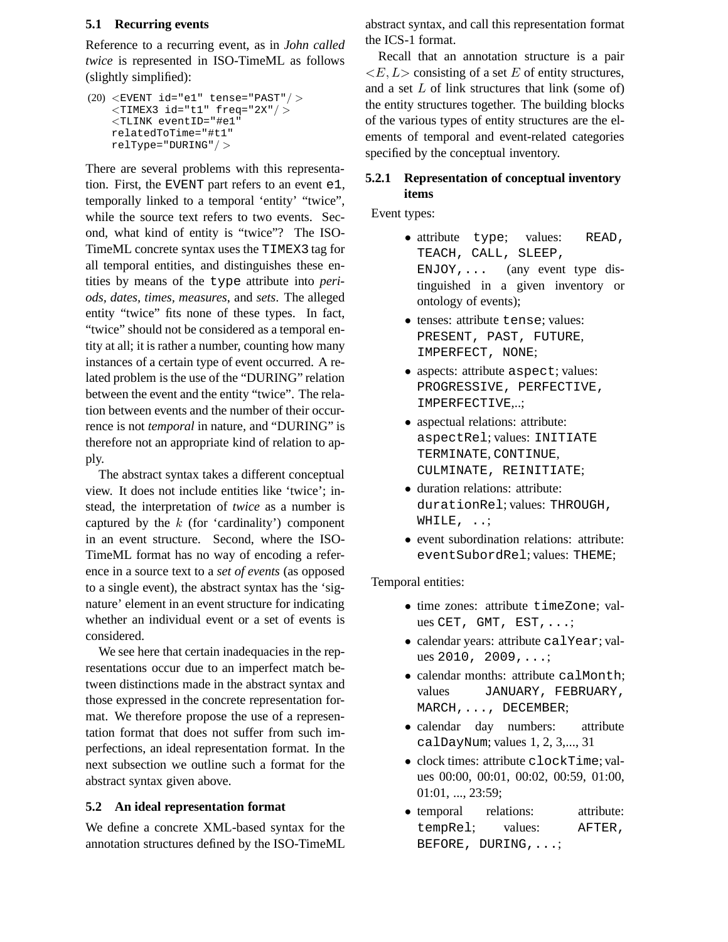## **5.1 Recurring events**

Reference to a recurring event, as in *John called twice* is represented in ISO-TimeML as follows (slightly simplified):

 $(20)$  <EVENT id="e1" tense="PAST"/>  $\langle$ TIMEX3 id="t1" freq="2X"/ $>$ <TLINK eventID="#e1" relatedToTime="#t1" relType="DURING"/ >

There are several problems with this representation. First, the EVENT part refers to an event e1, temporally linked to a temporal 'entity' "twice", while the source text refers to two events. Second, what kind of entity is "twice"? The ISO-TimeML concrete syntax uses the TIMEX3 tag for all temporal entities, and distinguishes these entities by means of the type attribute into *periods, dates, times, measures*, and *sets*. The alleged entity "twice" fits none of these types. In fact, "twice" should not be considered as a temporal entity at all; it is rather a number, counting how many instances of a certain type of event occurred. A related problem is the use of the "DURING" relation between the event and the entity "twice". The relation between events and the number of their occurrence is not *temporal* in nature, and "DURING" is therefore not an appropriate kind of relation to apply.

The abstract syntax takes a different conceptual view. It does not include entities like 'twice'; instead, the interpretation of *twice* as a number is captured by the  $k$  (for 'cardinality') component in an event structure. Second, where the ISO-TimeML format has no way of encoding a reference in a source text to a *set of events* (as opposed to a single event), the abstract syntax has the 'signature' element in an event structure for indicating whether an individual event or a set of events is considered.

We see here that certain inadequacies in the representations occur due to an imperfect match between distinctions made in the abstract syntax and those expressed in the concrete representation format. We therefore propose the use of a representation format that does not suffer from such imperfections, an ideal representation format. In the next subsection we outline such a format for the abstract syntax given above.

## **5.2 An ideal representation format**

We define a concrete XML-based syntax for the annotation structures defined by the ISO-TimeML abstract syntax, and call this representation format the ICS-1 format.

Recall that an annotation structure is a pair  $\langle E, L \rangle$  consisting of a set E of entity structures, and a set  $L$  of link structures that link (some of) the entity structures together. The building blocks of the various types of entity structures are the elements of temporal and event-related categories specified by the conceptual inventory.

## **5.2.1 Representation of conceptual inventory items**

Event types:

- attribute type; values: READ, TEACH, CALL, SLEEP,  $ENJOY, \ldots$  (any event type distinguished in a given inventory or ontology of events);
- tenses: attribute tense; values: PRESENT, PAST, FUTURE, IMPERFECT, NONE;
- aspects: attribute aspect; values: PROGRESSIVE, PERFECTIVE, IMPERFECTIVE,..;
- aspectual relations: attribute: aspectRel; values: INITIATE TERMINATE, CONTINUE, CULMINATE, REINITIATE;
- duration relations: attribute: durationRel; values: THROUGH, WHILE, ...
- event subordination relations: attribute: eventSubordRel; values: THEME;

Temporal entities:

- time zones: attribute timeZone: values CET, GMT, EST,...;
- calendar years: attribute calYear; values 2010, 2009,...;
- calendar months: attribute calMonth: values JANUARY, FEBRUARY, MARCH,..., DECEMBER;
- calendar day numbers: attribute calDayNum; values 1, 2, 3,..., 31
- clock times: attribute clockTime; values 00:00, 00:01, 00:02, 00:59, 01:00, 01:01, ..., 23:59;
- temporal relations: attribute: tempRel; values: AFTER, BEFORE, DURING,...;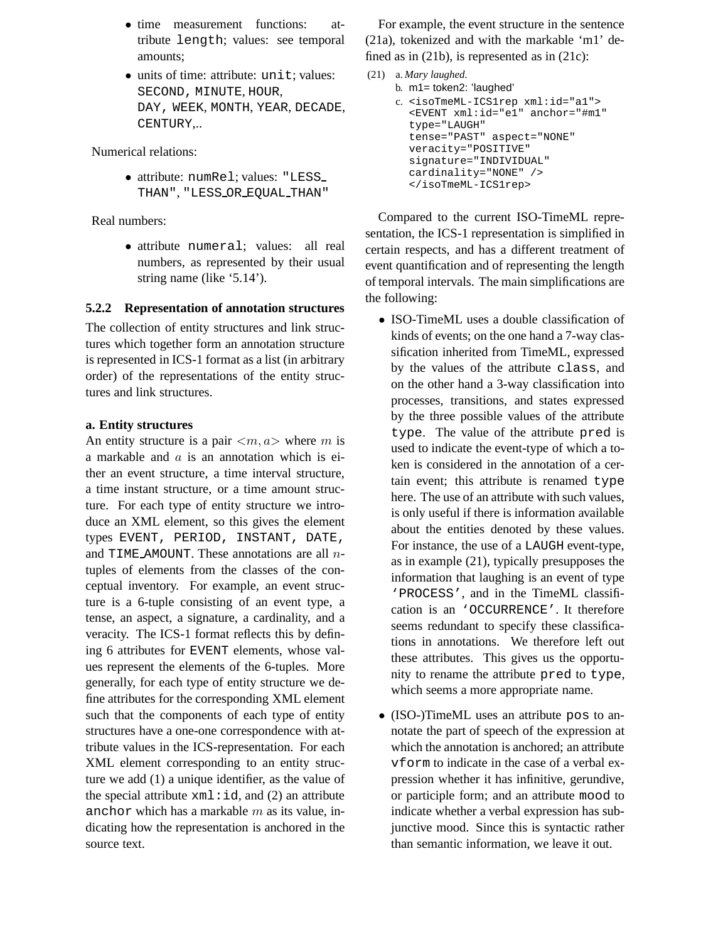- time measurement functions: attribute length; values: see temporal amounts;
- units of time: attribute: unit; values: SECOND, MINUTE, HOUR, DAY, WEEK, MONTH, YEAR, DECADE, CENTURY,..

Numerical relations:

• attribute: numRel; values: "LESS THAN", "LESS OR EQUAL THAN"

Real numbers:

• attribute numeral; values: all real numbers, as represented by their usual string name (like '5.14').

## **5.2.2 Representation of annotation structures**

The collection of entity structures and link structures which together form an annotation structure is represented in ICS-1 format as a list (in arbitrary order) of the representations of the entity structures and link structures.

## **a. Entity structures**

An entity structure is a pair  $\langle m, a \rangle$  where m is a markable and  $\alpha$  is an annotation which is either an event structure, a time interval structure, a time instant structure, or a time amount structure. For each type of entity structure we introduce an XML element, so this gives the element types EVENT, PERIOD, INSTANT, DATE, and TIME AMOUNT. These annotations are all  $n$ tuples of elements from the classes of the conceptual inventory. For example, an event structure is a 6-tuple consisting of an event type, a tense, an aspect, a signature, a cardinality, and a veracity. The ICS-1 format reflects this by defining 6 attributes for EVENT elements, whose values represent the elements of the 6-tuples. More generally, for each type of entity structure we define attributes for the corresponding XML element such that the components of each type of entity structures have a one-one correspondence with attribute values in the ICS-representation. For each XML element corresponding to an entity structure we add (1) a unique identifier, as the value of the special attribute  $xml$ : i.d., and (2) an attribute anchor which has a markable  $m$  as its value, indicating how the representation is anchored in the source text.

For example, the event structure in the sentence (21a), tokenized and with the markable 'm1' defined as in (21b), is represented as in (21c):

```
(21) a. Mary laughed.
```

```
b. m1= token2: 'laughed'
```

```
c. <isoTmeML-ICS1rep xml:id="a1">
<EVENT xml:id="e1" anchor="#m1"
type="LAUGH"
tense="PAST" aspect="NONE"
veracity="POSITIVE"
signature="INDIVIDUAL"
cardinality="NONE" />
</isoTmeML-ICS1rep>
```
Compared to the current ISO-TimeML representation, the ICS-1 representation is simplified in certain respects, and has a different treatment of event quantification and of representing the length of temporal intervals. The main simplifications are the following:

- ISO-TimeML uses a double classification of kinds of events; on the one hand a 7-way classification inherited from TimeML, expressed by the values of the attribute class, and on the other hand a 3-way classification into processes, transitions, and states expressed by the three possible values of the attribute type. The value of the attribute pred is used to indicate the event-type of which a token is considered in the annotation of a certain event; this attribute is renamed type here. The use of an attribute with such values, is only useful if there is information available about the entities denoted by these values. For instance, the use of a LAUGH event-type, as in example (21), typically presupposes the information that laughing is an event of type 'PROCESS', and in the TimeML classification is an 'OCCURRENCE'. It therefore seems redundant to specify these classifications in annotations. We therefore left out these attributes. This gives us the opportunity to rename the attribute pred to type, which seems a more appropriate name.
- (ISO-)TimeML uses an attribute pos to annotate the part of speech of the expression at which the annotation is anchored; an attribute vform to indicate in the case of a verbal expression whether it has infinitive, gerundive, or participle form; and an attribute mood to indicate whether a verbal expression has subjunctive mood. Since this is syntactic rather than semantic information, we leave it out.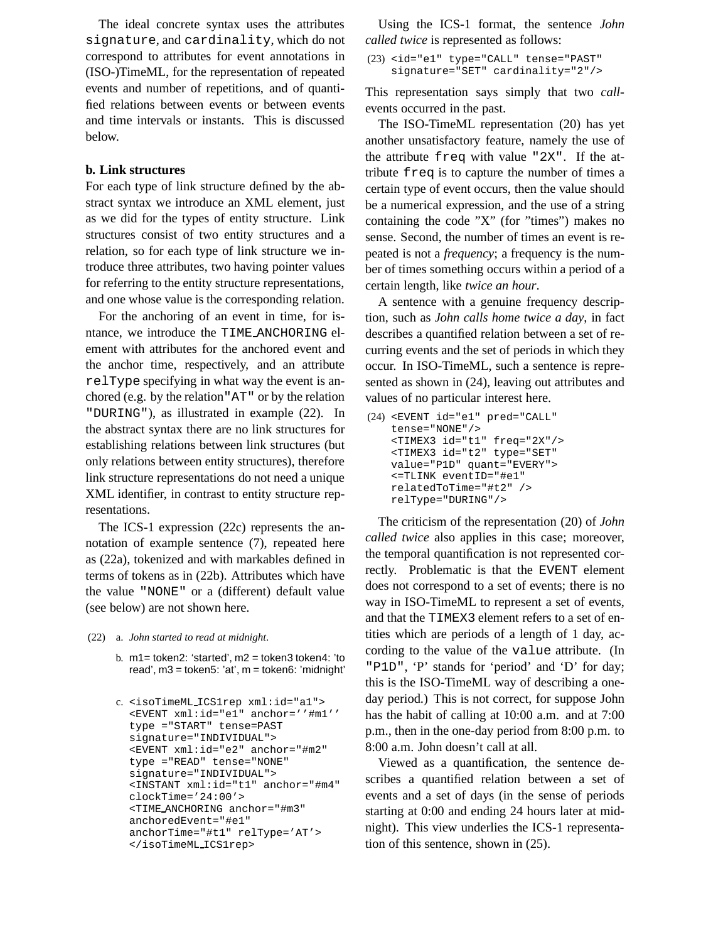The ideal concrete syntax uses the attributes signature, and cardinality, which do not correspond to attributes for event annotations in (ISO-)TimeML, for the representation of repeated events and number of repetitions, and of quantified relations between events or between events and time intervals or instants. This is discussed below.

### **b. Link structures**

For each type of link structure defined by the abstract syntax we introduce an XML element, just as we did for the types of entity structure. Link structures consist of two entity structures and a relation, so for each type of link structure we introduce three attributes, two having pointer values for referring to the entity structure representations, and one whose value is the corresponding relation.

For the anchoring of an event in time, for isntance, we introduce the TIME ANCHORING element with attributes for the anchored event and the anchor time, respectively, and an attribute relType specifying in what way the event is anchored (e.g. by the relation"AT" or by the relation "DURING"), as illustrated in example (22). In the abstract syntax there are no link structures for establishing relations between link structures (but only relations between entity structures), therefore link structure representations do not need a unique XML identifier, in contrast to entity structure representations.

The ICS-1 expression (22c) represents the annotation of example sentence (7), repeated here as (22a), tokenized and with markables defined in terms of tokens as in (22b). Attributes which have the value "NONE" or a (different) default value (see below) are not shown here.

#### (22) a. *John started to read at midnight*.

b.  $m1$  = token2: 'started',  $m2$  = token3 token4: 'to read', m3 = token5: 'at', m = token6: 'midnight'

```
c. <isoTimeML ICS1rep xml:id="a1">
<EVENT xml:id="e1" anchor=''#m1''
type ="START" tense=PAST
signature="INDIVIDUAL">
<EVENT xml:id="e2" anchor="#m2"
type ="READ" tense="NONE"
signature="INDIVIDUAL">
<INSTANT xml:id="t1" anchor="#m4"
clockTime='24:00'>
<TIME ANCHORING anchor="#m3"
anchoredEvent="#e1"
anchorTime="#t1" relType='AT'>
</isoTimeML ICS1rep>
```
Using the ICS-1 format, the sentence *John called twice* is represented as follows:

```
(23) <id="e1" type="CALL" tense="PAST"
 signature="SET" cardinality="2"/>
```
This representation says simply that two *call*events occurred in the past.

The ISO-TimeML representation (20) has yet another unsatisfactory feature, namely the use of the attribute freq with value "2X". If the attribute freq is to capture the number of times a certain type of event occurs, then the value should be a numerical expression, and the use of a string containing the code "X" (for "times") makes no sense. Second, the number of times an event is repeated is not a *frequency*; a frequency is the number of times something occurs within a period of a certain length, like *twice an hour*.

A sentence with a genuine frequency description, such as *John calls home twice a day*, in fact describes a quantified relation between a set of recurring events and the set of periods in which they occur. In ISO-TimeML, such a sentence is represented as shown in (24), leaving out attributes and values of no particular interest here.

```
(24) <EVENT id="e1" pred="CALL"
 tense="NONE"/>
 <TIMEX3 id="t1" freq="2X"/>
 <TIMEX3 id="t2" type="SET"
 value="P1D" quant="EVERY">
 <=TLINK eventID="#e1"
 relatedToTime="#t2" />
 relType="DURING"/>
```
The criticism of the representation (20) of *John called twice* also applies in this case; moreover, the temporal quantification is not represented correctly. Problematic is that the EVENT element does not correspond to a set of events; there is no way in ISO-TimeML to represent a set of events, and that the TIMEX3 element refers to a set of entities which are periods of a length of 1 day, according to the value of the value attribute. (In "P1D", 'P' stands for 'period' and 'D' for day; this is the ISO-TimeML way of describing a oneday period.) This is not correct, for suppose John has the habit of calling at 10:00 a.m. and at 7:00 p.m., then in the one-day period from 8:00 p.m. to 8:00 a.m. John doesn't call at all.

Viewed as a quantification, the sentence describes a quantified relation between a set of events and a set of days (in the sense of periods starting at 0:00 and ending 24 hours later at midnight). This view underlies the ICS-1 representation of this sentence, shown in (25).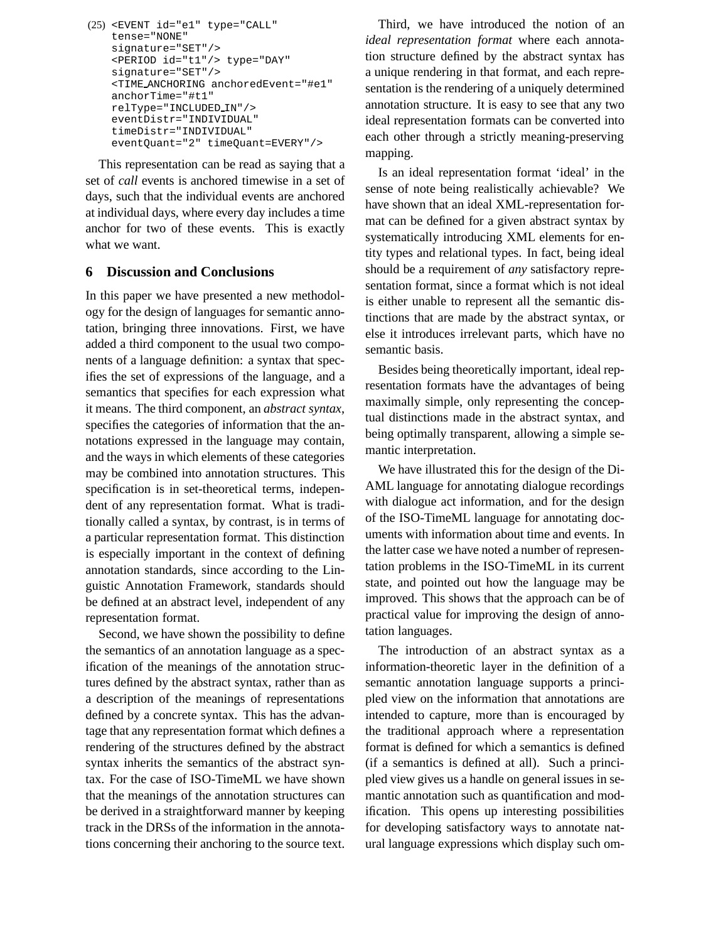```
(25) <EVENT id="e1" type="CALL"
 tense="NONE"
 signature="SET"/>
 <PERIOD id="t1"/> type="DAY"
 signature="SET"/>
 <TIME ANCHORING anchoredEvent="#e1"
 anchorTime="#t1"
 relType="INCLUDED IN"/>
 eventDistr="INDIVIDUAL"
 timeDistr="INDIVIDUAL"
 eventQuant="2" timeQuant=EVERY"/>
```
This representation can be read as saying that a set of *call* events is anchored timewise in a set of days, such that the individual events are anchored at individual days, where every day includes a time anchor for two of these events. This is exactly what we want.

## **6 Discussion and Conclusions**

In this paper we have presented a new methodology for the design of languages for semantic annotation, bringing three innovations. First, we have added a third component to the usual two components of a language definition: a syntax that specifies the set of expressions of the language, and a semantics that specifies for each expression what it means. The third component, an *abstract syntax*, specifies the categories of information that the annotations expressed in the language may contain, and the ways in which elements of these categories may be combined into annotation structures. This specification is in set-theoretical terms, independent of any representation format. What is traditionally called a syntax, by contrast, is in terms of a particular representation format. This distinction is especially important in the context of defining annotation standards, since according to the Linguistic Annotation Framework, standards should be defined at an abstract level, independent of any representation format.

Second, we have shown the possibility to define the semantics of an annotation language as a specification of the meanings of the annotation structures defined by the abstract syntax, rather than as a description of the meanings of representations defined by a concrete syntax. This has the advantage that any representation format which defines a rendering of the structures defined by the abstract syntax inherits the semantics of the abstract syntax. For the case of ISO-TimeML we have shown that the meanings of the annotation structures can be derived in a straightforward manner by keeping track in the DRSs of the information in the annotations concerning their anchoring to the source text.

Third, we have introduced the notion of an *ideal representation format* where each annotation structure defined by the abstract syntax has a unique rendering in that format, and each representation is the rendering of a uniquely determined annotation structure. It is easy to see that any two ideal representation formats can be converted into each other through a strictly meaning-preserving mapping.

Is an ideal representation format 'ideal' in the sense of note being realistically achievable? We have shown that an ideal XML-representation format can be defined for a given abstract syntax by systematically introducing XML elements for entity types and relational types. In fact, being ideal should be a requirement of *any* satisfactory representation format, since a format which is not ideal is either unable to represent all the semantic distinctions that are made by the abstract syntax, or else it introduces irrelevant parts, which have no semantic basis.

Besides being theoretically important, ideal representation formats have the advantages of being maximally simple, only representing the conceptual distinctions made in the abstract syntax, and being optimally transparent, allowing a simple semantic interpretation.

We have illustrated this for the design of the Di-AML language for annotating dialogue recordings with dialogue act information, and for the design of the ISO-TimeML language for annotating documents with information about time and events. In the latter case we have noted a number of representation problems in the ISO-TimeML in its current state, and pointed out how the language may be improved. This shows that the approach can be of practical value for improving the design of annotation languages.

The introduction of an abstract syntax as a information-theoretic layer in the definition of a semantic annotation language supports a principled view on the information that annotations are intended to capture, more than is encouraged by the traditional approach where a representation format is defined for which a semantics is defined (if a semantics is defined at all). Such a principled view gives us a handle on general issues in semantic annotation such as quantification and modification. This opens up interesting possibilities for developing satisfactory ways to annotate natural language expressions which display such om